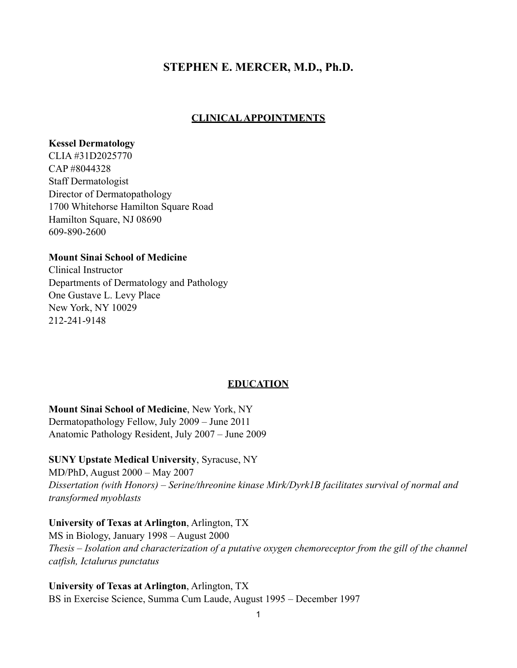# **STEPHEN E. MERCER, M.D., Ph.D.**

# **CLINICAL APPOINTMENTS**

#### **Kessel Dermatology**

CLIA #31D2025770 CAP #8044328 Staff Dermatologist Director of Dermatopathology 1700 Whitehorse Hamilton Square Road Hamilton Square, NJ 08690 609-890-2600

## **Mount Sinai School of Medicine**

Clinical Instructor Departments of Dermatology and Pathology One Gustave L. Levy Place New York, NY 10029 212-241-9148

## **EDUCATION**

**Mount Sinai School of Medicine**, New York, NY Dermatopathology Fellow, July 2009 – June 2011 Anatomic Pathology Resident, July 2007 – June 2009

## **SUNY Upstate Medical University**, Syracuse, NY

MD/PhD, August 2000 – May 2007 *Dissertation (with Honors) – Serine/threonine kinase Mirk/Dyrk1B facilitates survival of normal and transformed myoblasts*

## **University of Texas at Arlington**, Arlington, TX

MS in Biology, January 1998 – August 2000 *Thesis – Isolation and characterization of a putative oxygen chemoreceptor from the gill of the channel catfish, Ictalurus punctatus*

**University of Texas at Arlington**, Arlington, TX BS in Exercise Science, Summa Cum Laude, August 1995 – December 1997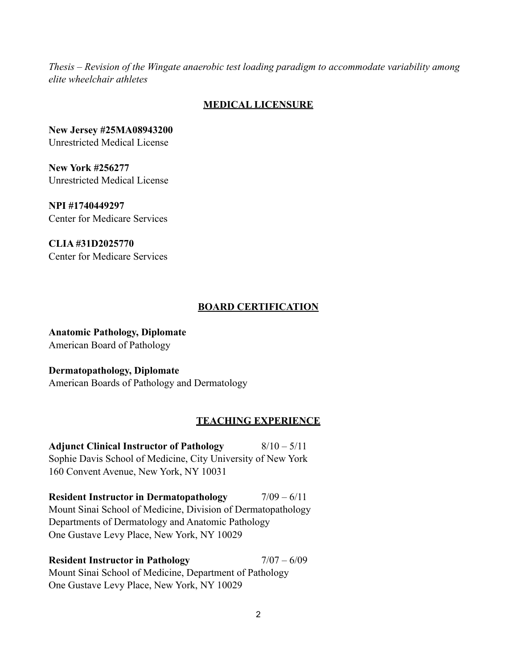*Thesis – Revision of the Wingate anaerobic test loading paradigm to accommodate variability among elite wheelchair athletes*

## **MEDICAL LICENSURE**

**New Jersey #25MA08943200** Unrestricted Medical License

**New York #256277** Unrestricted Medical License

**NPI #1740449297** Center for Medicare Services

**CLIA #31D2025770** Center for Medicare Services

## **BOARD CERTIFICATION**

**Anatomic Pathology, Diplomate** American Board of Pathology

**Dermatopathology, Diplomate** American Boards of Pathology and Dermatology

## **TEACHING EXPERIENCE**

**Adjunct Clinical Instructor of Pathology** 8/10 – 5/11 Sophie Davis School of Medicine, City University of New York 160 Convent Avenue, New York, NY 10031

**Resident Instructor in Dermatopathology**  $7/09 - 6/11$ Mount Sinai School of Medicine, Division of Dermatopathology Departments of Dermatology and Anatomic Pathology One Gustave Levy Place, New York, NY 10029

**Resident Instructor in Pathology** 7/07 – 6/09 Mount Sinai School of Medicine, Department of Pathology One Gustave Levy Place, New York, NY 10029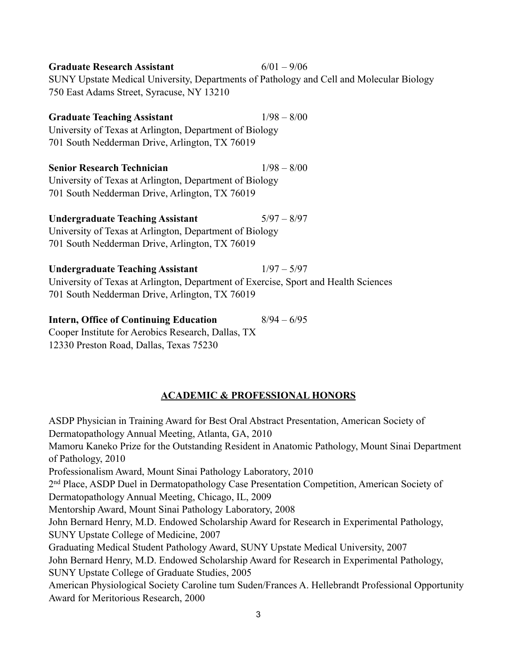| <b>Graduate Research Assistant</b>                                                       | $6/01 - 9/06$ |
|------------------------------------------------------------------------------------------|---------------|
| SUNY Upstate Medical University, Departments of Pathology and Cell and Molecular Biology |               |
| 750 East Adams Street, Syracuse, NY 13210                                                |               |
| <b>Graduate Teaching Assistant</b>                                                       | $1/98 - 8/00$ |
| University of Texas at Arlington, Department of Biology                                  |               |
| 701 South Nedderman Drive, Arlington, TX 76019                                           |               |
| <b>Senior Research Technician</b>                                                        | $1/98 - 8/00$ |
| University of Texas at Arlington, Department of Biology                                  |               |
| 701 South Nedderman Drive, Arlington, TX 76019                                           |               |
| <b>Undergraduate Teaching Assistant</b>                                                  | $5/97 - 8/97$ |
| University of Texas at Arlington, Department of Biology                                  |               |
| 701 South Nedderman Drive, Arlington, TX 76019                                           |               |
| <b>Undergraduate Teaching Assistant</b>                                                  | $1/97 - 5/97$ |
| University of Texas at Arlington, Department of Exercise, Sport and Health Sciences      |               |
| 701 South Nedderman Drive, Arlington, TX 76019                                           |               |
| <b>Intern, Office of Continuing Education</b>                                            | $8/94 - 6/95$ |

Cooper Institute for Aerobics Research, Dallas, TX 12330 Preston Road, Dallas, Texas 75230

## **ACADEMIC & PROFESSIONAL HONORS**

ASDP Physician in Training Award for Best Oral Abstract Presentation, American Society of Dermatopathology Annual Meeting, Atlanta, GA, 2010 Mamoru Kaneko Prize for the Outstanding Resident in Anatomic Pathology, Mount Sinai Department of Pathology, 2010 Professionalism Award, Mount Sinai Pathology Laboratory, 2010 2nd Place, ASDP Duel in Dermatopathology Case Presentation Competition, American Society of Dermatopathology Annual Meeting, Chicago, IL, 2009 Mentorship Award, Mount Sinai Pathology Laboratory, 2008 John Bernard Henry, M.D. Endowed Scholarship Award for Research in Experimental Pathology, SUNY Upstate College of Medicine, 2007 Graduating Medical Student Pathology Award, SUNY Upstate Medical University, 2007 John Bernard Henry, M.D. Endowed Scholarship Award for Research in Experimental Pathology, SUNY Upstate College of Graduate Studies, 2005 American Physiological Society Caroline tum Suden/Frances A. Hellebrandt Professional Opportunity Award for Meritorious Research, 2000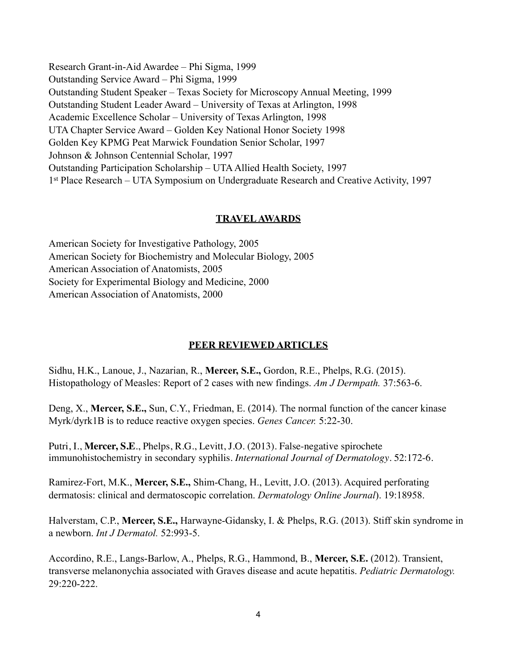Research Grant-in-Aid Awardee – Phi Sigma, 1999 Outstanding Service Award – Phi Sigma, 1999 Outstanding Student Speaker – Texas Society for Microscopy Annual Meeting, 1999 Outstanding Student Leader Award – University of Texas at Arlington, 1998 Academic Excellence Scholar – University of Texas Arlington, 1998 UTA Chapter Service Award – Golden Key National Honor Society 1998 Golden Key KPMG Peat Marwick Foundation Senior Scholar, 1997 Johnson & Johnson Centennial Scholar, 1997 Outstanding Participation Scholarship – UTA Allied Health Society, 1997 1st Place Research – UTA Symposium on Undergraduate Research and Creative Activity, 1997

## **TRAVEL AWARDS**

American Society for Investigative Pathology, 2005 American Society for Biochemistry and Molecular Biology, 2005 American Association of Anatomists, 2005 Society for Experimental Biology and Medicine, 2000 American Association of Anatomists, 2000

## **PEER REVIEWED ARTICLES**

Sidhu, H.K., Lanoue, J., Nazarian, R., **Mercer, S.E.,** Gordon, R.E., Phelps, R.G. (2015). Histopathology of Measles: Report of 2 cases with new findings. *Am J Dermpath.* 37:563-6.

Deng, X., **Mercer, S.E.,** Sun, C.Y., Friedman, E. (2014). The normal function of the cancer kinase Myrk/dyrk1B is to reduce reactive oxygen species. *Genes Cancer.* 5:22-30.

Putri, I., **Mercer, S.E**., Phelps, R.G., Levitt, J.O. (2013). False-negative spirochete immunohistochemistry in secondary syphilis. *International Journal of Dermatology*. 52:172-6.

Ramirez-Fort, M.K., **Mercer, S.E.,** Shim-Chang, H., Levitt, J.O. (2013). Acquired perforating dermatosis: clinical and dermatoscopic correlation. *Dermatology Online Journal*). 19:18958.

Halverstam, C.P., **Mercer, S.E.,** Harwayne-Gidansky, I. & Phelps, R.G. (2013). Stiff skin syndrome in a newborn. *Int J Dermatol.* 52:993-5.

Accordino, R.E., Langs-Barlow, A., Phelps, R.G., Hammond, B., **Mercer, S.E.** (2012). Transient, transverse melanonychia associated with Graves disease and acute hepatitis. *Pediatric Dermatology.* 29:220-222.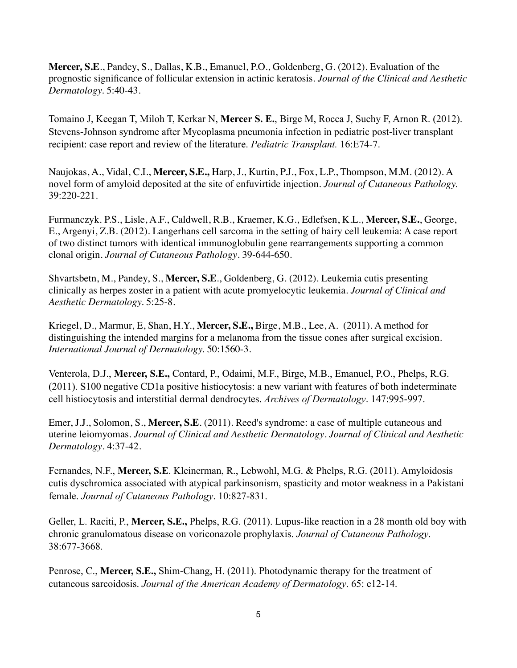**Mercer, S.E**., Pandey, S., Dallas, K.B., Emanuel, P.O., Goldenberg, G. (2012). Evaluation of the prognostic significance of follicular extension in actinic keratosis. *Journal of the Clinical and Aesthetic Dermatology.* 5:40-43.

Tomaino J, Keegan T, Miloh T, Kerkar N, **Mercer S. E.**, Birge M, Rocca J, Suchy F, Arnon R. (2012). Stevens-Johnson syndrome after Mycoplasma pneumonia infection in pediatric post-liver transplant recipient: case report and review of the literature. *Pediatric Transplant.* 16:E74-7.

Naujokas, A., Vidal, C.I., **Mercer, S.E.,** Harp, J., Kurtin, P.J., Fox, L.P., Thompson, M.M. (2012). A novel form of amyloid deposited at the site of enfuvirtide injection. *Journal of Cutaneous Pathology.* 39:220-221.

Furmanczyk. P.S., Lisle, A.F., Caldwell, R.B., Kraemer, K.G., Edlefsen, K.L., **Mercer, S.E.**, George, E., Argenyi, Z.B. (2012). Langerhans cell sarcoma in the setting of hairy cell leukemia: A case report of two distinct tumors with identical immunoglobulin gene rearrangements supporting a common clonal origin. *Journal of Cutaneous Pathology*. 39-644-650.

Shvartsbetn, M., Pandey, S., **Mercer, S.E**., Goldenberg, G. (2012). Leukemia cutis presenting clinically as herpes zoster in a patient with acute promyelocytic leukemia. *Journal of Clinical and Aesthetic Dermatology.* 5:25-8.

Kriegel, D., Marmur, E, Shan, H.Y., **Mercer, S.E.,** Birge, M.B., Lee, A. (2011). A method for distinguishing the intended margins for a melanoma from the tissue cones after surgical excision. *International Journal of Dermatology.* 50:1560-3.

Venterola, D.J., **Mercer, S.E.,** Contard, P., Odaimi, M.F., Birge, M.B., Emanuel, P.O., Phelps, R.G. (2011). S100 negative CD1a positive histiocytosis: a new variant with features of both indeterminate cell histiocytosis and interstitial dermal dendrocytes. *Archives of Dermatology*. 147:995-997.

Emer, J.J., Solomon, S., **Mercer, S.E**. (2011). Reed's syndrome: a case of multiple cutaneous and uterine leiomyomas. *Journal of Clinical and Aesthetic Dermatology*. *Journal of Clinical and Aesthetic Dermatology*. 4:37-42.

Fernandes, N.F., **Mercer, S.E**. Kleinerman, R., Lebwohl, M.G. & Phelps, R.G. (2011). Amyloidosis cutis dyschromica associated with atypical parkinsonism, spasticity and motor weakness in a Pakistani female. *Journal of Cutaneous Pathology*. 10:827-831.

Geller, L. Raciti, P., **Mercer, S.E.,** Phelps, R.G. (2011). Lupus-like reaction in a 28 month old boy with chronic granulomatous disease on voriconazole prophylaxis. *Journal of Cutaneous Pathology*. 38:677-3668.

Penrose, C., **Mercer, S.E.,** Shim-Chang, H. (2011). Photodynamic therapy for the treatment of cutaneous sarcoidosis. *Journal of the American Academy of Dermatology*. 65: e12-14.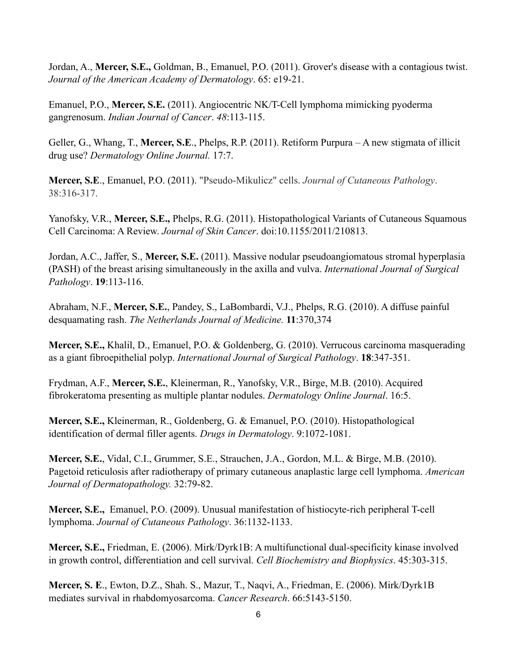Jordan, A., **Mercer, S.E.,** Goldman, B., Emanuel, P.O. (2011). Grover's disease with a contagious twist. *Journal of the American Academy of Dermatology*. 65: e19-21.

Emanuel, P.O., **Mercer, S.E.** (2011). Angiocentric NK/T-Cell lymphoma mimicking pyoderma gangrenosum. *Indian Journal of Cancer*. *48*:113-115.

Geller, G., Whang, T., **Mercer, S.E**., Phelps, R.P. (2011). Retiform Purpura – A new stigmata of illicit drug use? *Dermatology Online Journal.* 17:7.

**Mercer, S.E**., Emanuel, P.O. (2011). "Pseudo-Mikulicz" cells. *Journal of Cutaneous Pathology*. 38:316-317.

Yanofsky, V.R., **Mercer, S.E.,** Phelps, R.G. (2011). Histopathological Variants of Cutaneous Squamous Cell Carcinoma: A Review. *Journal of Skin Cancer*. doi:10.1155/2011/210813.

Jordan, A.C., Jaffer, S., **Mercer, S.E.** (2011). Massive nodular pseudoangiomatous stromal hyperplasia (PASH) of the breast arising simultaneously in the axilla and vulva. *International Journal of Surgical Pathology*. **19**:113-116.

Abraham, N.F., **Mercer, S.E.**, Pandey, S., LaBombardi, V.J., Phelps, R.G. (2010). A diffuse painful desquamating rash. *The Netherlands Journal of Medicine.* **11**:370,374

**Mercer, S.E.,** Khalil, D., Emanuel, P.O. & Goldenberg, G. (2010). Verrucous carcinoma masquerading as a giant fibroepithelial polyp. *International Journal of Surgical Pathology*. **18**:347-351.

Frydman, A.F., **Mercer, S.E.**, Kleinerman, R., Yanofsky, V.R., Birge, M.B. (2010). Acquired fibrokeratoma presenting as multiple plantar nodules. *Dermatology Online Journal*. 16:5.

**Mercer, S.E.,** Kleinerman, R., Goldenberg, G. & Emanuel, P.O. (2010). Histopathological identification of dermal filler agents. *Drugs in Dermatology*. 9:1072-1081.

**Mercer, S.E.**, Vidal, C.I., Grummer, S.E., Strauchen, J.A., Gordon, M.L. & Birge, M.B. (2010). Pagetoid reticulosis after radiotherapy of primary cutaneous anaplastic large cell lymphoma. *American Journal of Dermatopathology.* 32:79-82.

**Mercer, S.E.,** Emanuel, P.O. (2009). Unusual manifestation of histiocyte-rich peripheral T-cell lymphoma. *Journal of Cutaneous Pathology*. 36:1132-1133.

**Mercer, S.E.,** Friedman, E. (2006). Mirk/Dyrk1B: A multifunctional dual-specificity kinase involved in growth control, differentiation and cell survival. *Cell Biochemistry and Biophysics*. 45:303-315.

**Mercer, S. E**., Ewton, D.Z., Shah. S., Mazur, T., Naqvi, A., Friedman, E. (2006). Mirk/Dyrk1B mediates survival in rhabdomyosarcoma. *Cancer Research*. 66:5143-5150.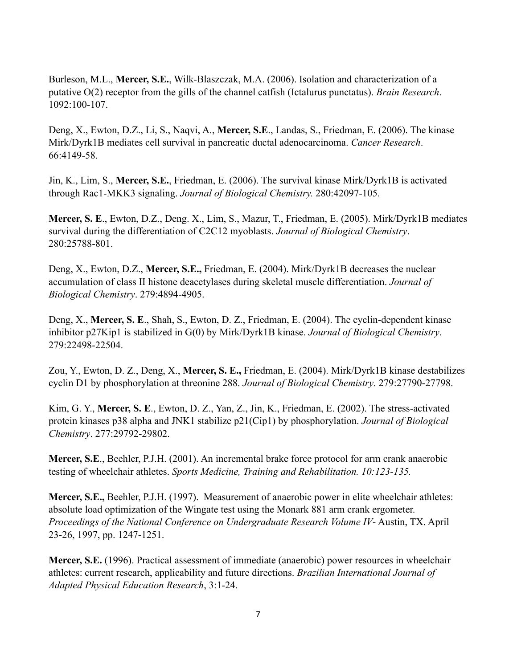Burleson, M.L., **Mercer, S.E.**, Wilk-Blaszczak, M.A. (2006). Isolation and characterization of a putative O(2) receptor from the gills of the channel catfish (Ictalurus punctatus). *Brain Research*. 1092:100-107.

Deng, X., Ewton, D.Z., Li, S., Naqvi, A., **Mercer, S.E**., Landas, S., Friedman, E. (2006). The kinase Mirk/Dyrk1B mediates cell survival in pancreatic ductal adenocarcinoma. *Cancer Research*. 66:4149-58.

Jin, K., Lim, S., **Mercer, S.E.**, Friedman, E. (2006). The survival kinase Mirk/Dyrk1B is activated through Rac1-MKK3 signaling. *Journal of Biological Chemistry.* 280:42097-105.

**Mercer, S. E**., Ewton, D.Z., Deng. X., Lim, S., Mazur, T., Friedman, E. (2005). Mirk/Dyrk1B mediates survival during the differentiation of C2C12 myoblasts. *Journal of Biological Chemistry*. 280:25788-801.

Deng, X., Ewton, D.Z., **Mercer, S.E.,** Friedman, E. (2004). Mirk/Dyrk1B decreases the nuclear accumulation of class II histone deacetylases during skeletal muscle differentiation. *Journal of Biological Chemistry*. 279:4894-4905.

Deng, X., **Mercer, S. E**., Shah, S., Ewton, D. Z., Friedman, E. (2004). The cyclin-dependent kinase inhibitor p27Kip1 is stabilized in G(0) by Mirk/Dyrk1B kinase. *Journal of Biological Chemistry*. 279:22498-22504.

Zou, Y., Ewton, D. Z., Deng, X., **Mercer, S. E.,** Friedman, E. (2004). Mirk/Dyrk1B kinase destabilizes cyclin D1 by phosphorylation at threonine 288. *Journal of Biological Chemistry*. 279:27790-27798.

Kim, G. Y., **Mercer, S. E**., Ewton, D. Z., Yan, Z., Jin, K., Friedman, E. (2002). The stress-activated protein kinases p38 alpha and JNK1 stabilize p21(Cip1) by phosphorylation. *Journal of Biological Chemistry*. 277:29792-29802.

**Mercer, S.E**., Beehler, P.J.H. (2001). An incremental brake force protocol for arm crank anaerobic testing of wheelchair athletes. *Sports Medicine, Training and Rehabilitation. 10:123-135.*

**Mercer, S.E.,** Beehler, P.J.H. (1997). Measurement of anaerobic power in elite wheelchair athletes: absolute load optimization of the Wingate test using the Monark 881 arm crank ergometer. *Proceedings of the National Conference on Undergraduate Research Volume IV*- Austin, TX. April 23-26, 1997, pp. 1247-1251.

**Mercer, S.E.** (1996). Practical assessment of immediate (anaerobic) power resources in wheelchair athletes: current research, applicability and future directions. *Brazilian International Journal of Adapted Physical Education Research*, 3:1-24.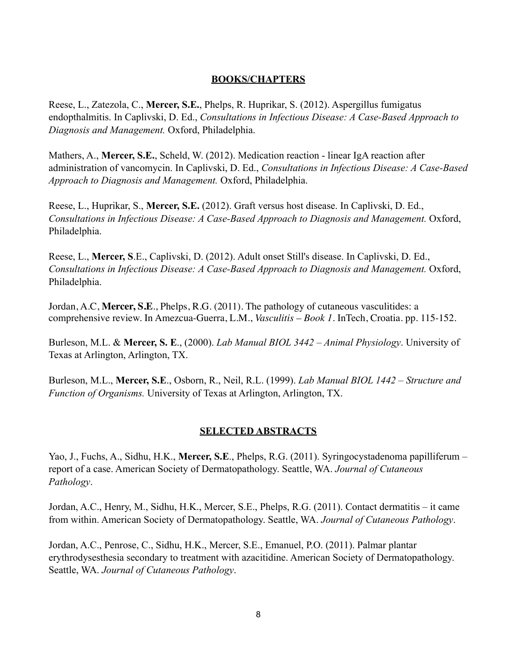## **BOOKS/CHAPTERS**

Reese, L., Zatezola, C., **Mercer, S.E.**, Phelps, R. Huprikar, S. (2012). Aspergillus fumigatus endopthalmitis. In Caplivski, D. Ed., *Consultations in Infectious Disease: A Case-Based Approach to Diagnosis and Management.* Oxford, Philadelphia.

Mathers, A., **Mercer, S.E.**, Scheld, W. (2012). Medication reaction - linear IgA reaction after administration of vancomycin. In Caplivski, D. Ed., *Consultations in Infectious Disease: A Case-Based Approach to Diagnosis and Management.* Oxford, Philadelphia.

Reese, L., Huprikar, S., **Mercer, S.E.** (2012). Graft versus host disease. In Caplivski, D. Ed., *Consultations in Infectious Disease: A Case-Based Approach to Diagnosis and Management.* Oxford, Philadelphia.

Reese, L., **Mercer, S**.E., Caplivski, D. (2012). Adult onset Still's disease. In Caplivski, D. Ed., *Consultations in Infectious Disease: A Case-Based Approach to Diagnosis and Management.* Oxford, Philadelphia.

Jordan, A.C, **Mercer, S.E**., Phelps, R.G. (2011). The pathology of cutaneous vasculitides: a comprehensive review. In Amezcua-Guerra, L.M., *Vasculitis – Book 1*. InTech, Croatia. pp. 115-152.

Burleson, M.L. & **Mercer, S. E**., (2000). *Lab Manual BIOL 3442 – Animal Physiology*. University of Texas at Arlington, Arlington, TX.

Burleson, M.L., **Mercer, S.E**., Osborn, R., Neil, R.L. (1999). *Lab Manual BIOL 1442 – Structure and Function of Organisms.* University of Texas at Arlington, Arlington, TX.

# **SELECTED ABSTRACTS**

Yao, J., Fuchs, A., Sidhu, H.K., **Mercer, S.E**., Phelps, R.G. (2011). Syringocystadenoma papilliferum – report of a case. American Society of Dermatopathology. Seattle, WA. *Journal of Cutaneous Pathology*.

Jordan, A.C., Henry, M., Sidhu, H.K., Mercer, S.E., Phelps, R.G. (2011). Contact dermatitis – it came from within. American Society of Dermatopathology. Seattle, WA. *Journal of Cutaneous Pathology*.

Jordan, A.C., Penrose, C., Sidhu, H.K., Mercer, S.E., Emanuel, P.O. (2011). Palmar plantar erythrodysesthesia secondary to treatment with azacitidine. American Society of Dermatopathology. Seattle, WA. *Journal of Cutaneous Pathology*.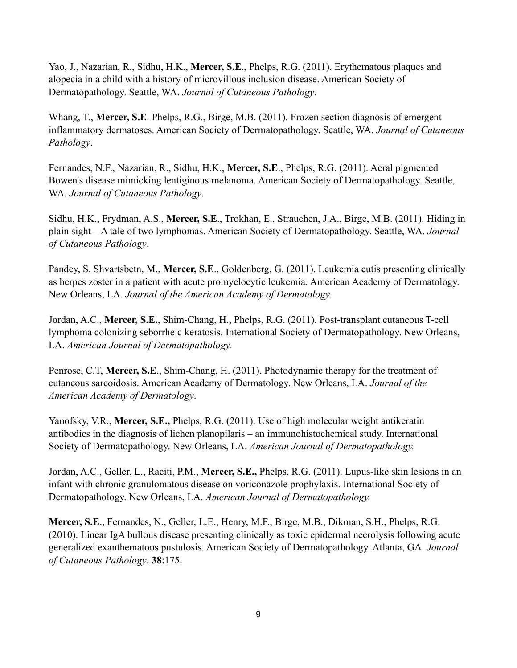Yao, J., Nazarian, R., Sidhu, H.K., **Mercer, S.E**., Phelps, R.G. (2011). Erythematous plaques and alopecia in a child with a history of microvillous inclusion disease. American Society of Dermatopathology. Seattle, WA. *Journal of Cutaneous Pathology*.

Whang, T., **Mercer, S.E**. Phelps, R.G., Birge, M.B. (2011). Frozen section diagnosis of emergent inflammatory dermatoses. American Society of Dermatopathology. Seattle, WA. *Journal of Cutaneous Pathology*.

Fernandes, N.F., Nazarian, R., Sidhu, H.K., **Mercer, S.E**., Phelps, R.G. (2011). Acral pigmented Bowen's disease mimicking lentiginous melanoma. American Society of Dermatopathology. Seattle, WA. *Journal of Cutaneous Pathology*.

Sidhu, H.K., Frydman, A.S., **Mercer, S.E**., Trokhan, E., Strauchen, J.A., Birge, M.B. (2011). Hiding in plain sight – A tale of two lymphomas. American Society of Dermatopathology. Seattle, WA. *Journal of Cutaneous Pathology*.

Pandey, S. Shvartsbetn, M., **Mercer, S.E**., Goldenberg, G. (2011). Leukemia cutis presenting clinically as herpes zoster in a patient with acute promyelocytic leukemia. American Academy of Dermatology. New Orleans, LA. *Journal of the American Academy of Dermatology.*

Jordan, A.C., **Mercer, S.E.**, Shim-Chang, H., Phelps, R.G. (2011). Post-transplant cutaneous T-cell lymphoma colonizing seborrheic keratosis. International Society of Dermatopathology. New Orleans, LA. *American Journal of Dermatopathology.*

Penrose, C.T, **Mercer, S.E**., Shim-Chang, H. (2011). Photodynamic therapy for the treatment of cutaneous sarcoidosis. American Academy of Dermatology. New Orleans, LA. *Journal of the American Academy of Dermatology*.

Yanofsky, V.R., **Mercer, S.E.,** Phelps, R.G. (2011). Use of high molecular weight antikeratin antibodies in the diagnosis of lichen planopilaris – an immunohistochemical study. International Society of Dermatopathology. New Orleans, LA. *American Journal of Dermatopathology.*

Jordan, A.C., Geller, L., Raciti, P.M., **Mercer, S.E.,** Phelps, R.G. (2011). Lupus-like skin lesions in an infant with chronic granulomatous disease on voriconazole prophylaxis. International Society of Dermatopathology. New Orleans, LA. *American Journal of Dermatopathology.*

**Mercer, S.E**., Fernandes, N., Geller, L.E., Henry, M.F., Birge, M.B., Dikman, S.H., Phelps, R.G. (2010). Linear IgA bullous disease presenting clinically as toxic epidermal necrolysis following acute generalized exanthematous pustulosis. American Society of Dermatopathology. Atlanta, GA. *Journal of Cutaneous Pathology*. **38**:175.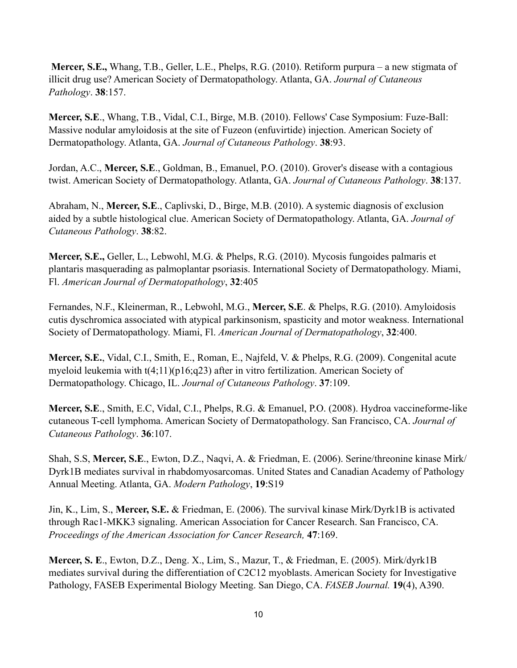**Mercer, S.E.,** Whang, T.B., Geller, L.E., Phelps, R.G. (2010). Retiform purpura – a new stigmata of illicit drug use? American Society of Dermatopathology. Atlanta, GA. *Journal of Cutaneous Pathology*. **38**:157.

**Mercer, S.E**., Whang, T.B., Vidal, C.I., Birge, M.B. (2010). Fellows' Case Symposium: Fuze-Ball: Massive nodular amyloidosis at the site of Fuzeon (enfuvirtide) injection. American Society of Dermatopathology. Atlanta, GA. *Journal of Cutaneous Pathology*. **38**:93.

Jordan, A.C., **Mercer, S.E**., Goldman, B., Emanuel, P.O. (2010). Grover's disease with a contagious twist. American Society of Dermatopathology. Atlanta, GA. *Journal of Cutaneous Pathology*. **38**:137.

Abraham, N., **Mercer, S.E**., Caplivski, D., Birge, M.B. (2010). A systemic diagnosis of exclusion aided by a subtle histological clue. American Society of Dermatopathology. Atlanta, GA. *Journal of Cutaneous Pathology*. **38**:82.

**Mercer, S.E.,** Geller, L., Lebwohl, M.G. & Phelps, R.G. (2010). Mycosis fungoides palmaris et plantaris masquerading as palmoplantar psoriasis. International Society of Dermatopathology. Miami, Fl. *American Journal of Dermatopathology*, **32**:405

Fernandes, N.F., Kleinerman, R., Lebwohl, M.G., **Mercer, S.E**. & Phelps, R.G. (2010). Amyloidosis cutis dyschromica associated with atypical parkinsonism, spasticity and motor weakness. International Society of Dermatopathology. Miami, Fl. *American Journal of Dermatopathology*, **32**:400.

**Mercer, S.E.**, Vidal, C.I., Smith, E., Roman, E., Najfeld, V. & Phelps, R.G. (2009). Congenital acute myeloid leukemia with t(4;11)(p16;q23) after in vitro fertilization. American Society of Dermatopathology. Chicago, IL. *Journal of Cutaneous Pathology*. **37**:109.

**Mercer, S.E**., Smith, E.C, Vidal, C.I., Phelps, R.G. & Emanuel, P.O. (2008). Hydroa vaccineforme-like cutaneous T-cell lymphoma. American Society of Dermatopathology. San Francisco, CA. *Journal of Cutaneous Pathology*. **36**:107.

Shah, S.S, **Mercer, S.E**., Ewton, D.Z., Naqvi, A. & Friedman, E. (2006). Serine/threonine kinase Mirk/ Dyrk1B mediates survival in rhabdomyosarcomas. United States and Canadian Academy of Pathology Annual Meeting. Atlanta, GA. *Modern Pathology*, **19**:S19

Jin, K., Lim, S., **Mercer, S.E.** & Friedman, E. (2006). The survival kinase Mirk/Dyrk1B is activated through Rac1-MKK3 signaling. American Association for Cancer Research. San Francisco, CA. *Proceedings of the American Association for Cancer Research,* **47**:169.

**Mercer, S. E**., Ewton, D.Z., Deng. X., Lim, S., Mazur, T., & Friedman, E. (2005). Mirk/dyrk1B mediates survival during the differentiation of C2C12 myoblasts. American Society for Investigative Pathology, FASEB Experimental Biology Meeting. San Diego, CA. *FASEB Journal.* **19**(4), A390.